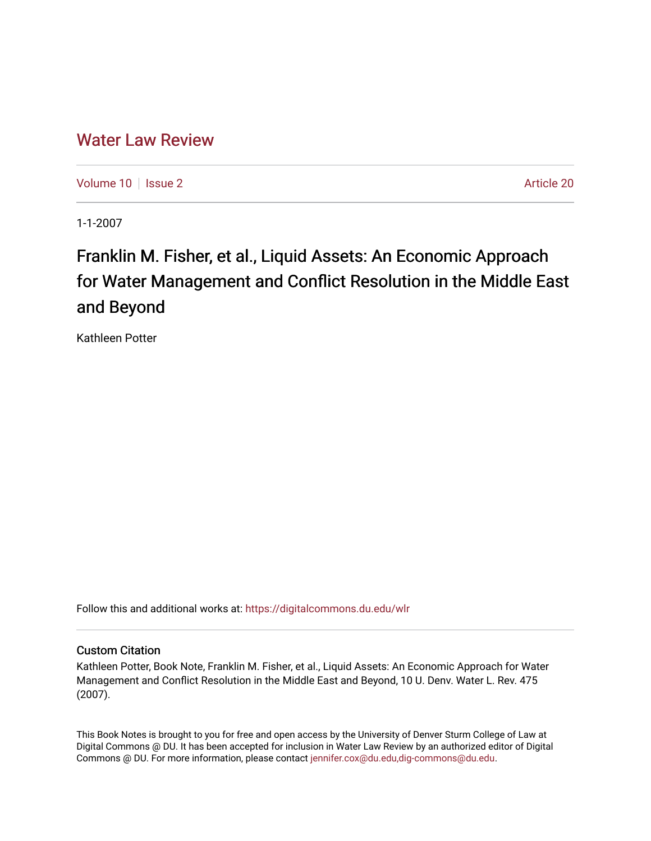## [Water Law Review](https://digitalcommons.du.edu/wlr)

[Volume 10](https://digitalcommons.du.edu/wlr/vol10) | [Issue 2](https://digitalcommons.du.edu/wlr/vol10/iss2) Article 20

1-1-2007

# Franklin M. Fisher, et al., Liquid Assets: An Economic Approach for Water Management and Conflict Resolution in the Middle East and Beyond

Kathleen Potter

Follow this and additional works at: [https://digitalcommons.du.edu/wlr](https://digitalcommons.du.edu/wlr?utm_source=digitalcommons.du.edu%2Fwlr%2Fvol10%2Fiss2%2F20&utm_medium=PDF&utm_campaign=PDFCoverPages) 

### Custom Citation

Kathleen Potter, Book Note, Franklin M. Fisher, et al., Liquid Assets: An Economic Approach for Water Management and Conflict Resolution in the Middle East and Beyond, 10 U. Denv. Water L. Rev. 475 (2007).

This Book Notes is brought to you for free and open access by the University of Denver Sturm College of Law at Digital Commons @ DU. It has been accepted for inclusion in Water Law Review by an authorized editor of Digital Commons @ DU. For more information, please contact [jennifer.cox@du.edu,dig-commons@du.edu.](mailto:jennifer.cox@du.edu,dig-commons@du.edu)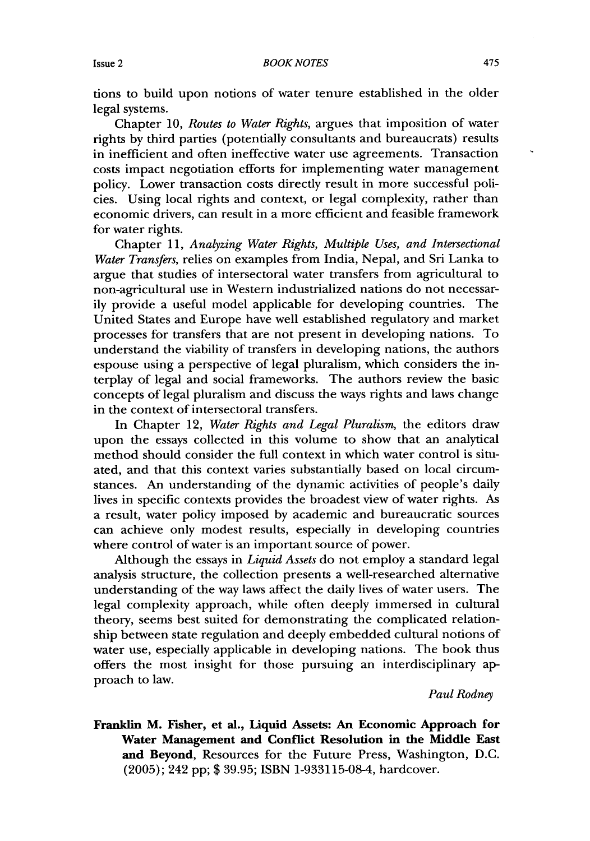tions to build upon notions of water tenure established in the older legal systems.

Chapter 10, *Routes to Water Rights,* argues that imposition of water rights by third parties (potentially consultants and bureaucrats) results in inefficient and often ineffective water use agreements. Transaction costs impact negotiation efforts for implementing water management policy. Lower transaction costs directly result in more successful policies. Using local rights and context, or legal complexity, rather than economic drivers, can result in a more efficient and feasible framework for water rights.

Chapter 11, *Analyzing Water Rights, Multiple Uses, and Intersectional Water Transfers,* relies on examples from India, Nepal, and Sri Lanka to argue that studies of intersectoral water transfers from agricultural to non-agricultural use in Western industrialized nations do not necessarily provide a useful model applicable for developing countries. The United States and Europe have well established regulatory and market processes for transfers that are not present in developing nations. To understand the viability of transfers in developing nations, the authors espouse using a perspective of legal pluralism, which considers the interplay of legal and social frameworks. The authors review the basic concepts of legal pluralism and discuss the ways rights and laws change in the context of intersectoral transfers.

In Chapter 12, *Water Rights and Legal Pluralism,* the editors draw upon the essays collected in this volume to show that an analytical method should consider the full context in which water control is situated, and that this context varies substantially based on local circumstances. An understanding of the dynamic activities of people's daily lives in specific contexts provides the broadest view of water rights. As a result, water policy imposed by academic and bureaucratic sources can achieve only modest results, especially in developing countries where control of water is an important source of power.

Although the essays in *Liquid Assets* do not employ a standard legal analysis structure, the collection presents a well-researched alternative understanding of the way laws affect the daily lives of water users. The legal complexity approach, while often deeply immersed in cultural theory, seems best suited for demonstrating the complicated relationship between state regulation and deeply embedded cultural notions of water use, especially applicable in developing nations. The book thus offers the most insight for those pursuing an interdisciplinary approach to law.

*Paul Rodney*

**Franklin M. Fisher, et al., Liquid Assets: An Economic Approach for Water Management and Conflict Resolution in the Middle East and Beyond,** Resources for the Future Press, Washington, D.C. (2005); 242 pp; \$ 39.95; ISBN 1-933115-08-4, hardcover.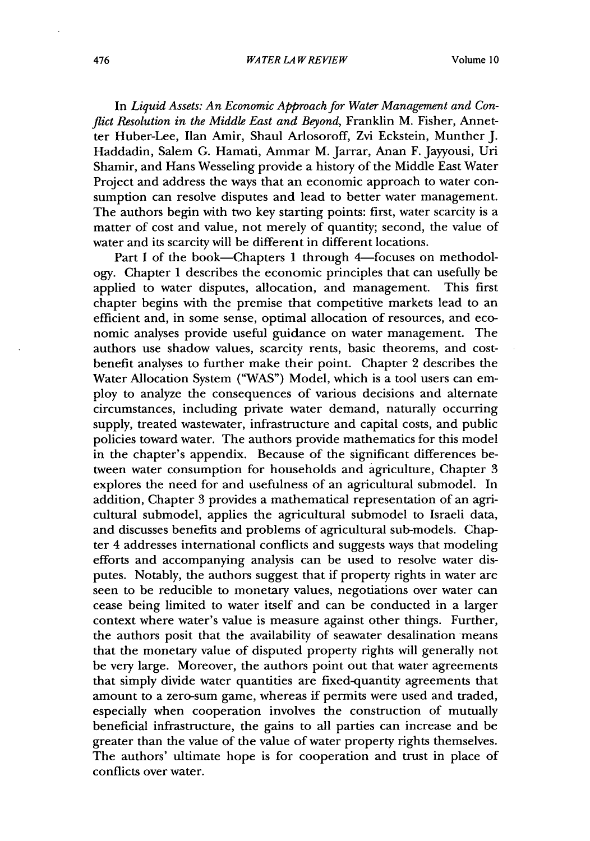#### *WATER LA W REVIEW*

In *Liquid Assets: An Economic Approach for Water Management and Conflict Resolution in the Middle East and Beyond, Franklin M. Fisher, Annet*ter Huber-Lee, Ilan Amir, Shaul Arlosoroff, Zvi Eckstein, Munther J. Haddadin, Salem G. Hamati, Ammar M. Jarrar, Anan F. Jayyousi, Uri Shamir, and Hans Wesseling provide a history of the Middle East Water Project and address the ways that an economic approach to water consumption can resolve disputes and lead to better water management. The authors begin with two key starting points: first, water scarcity is a matter of cost and value, not merely of quantity; second, the value of water and its scarcity will be different in different locations.

Part I of the book-Chapters 1 through 4-focuses on methodology. Chapter 1 describes the economic principles that can usefully be applied to water disputes, allocation, and management. This first chapter begins with the premise that competitive markets lead to an efficient and, in some sense, optimal allocation of resources, and economic analyses provide useful guidance on water management. The authors use shadow values, scarcity rents, basic theorems, and costbenefit analyses to further make their point. Chapter 2 describes the Water Allocation System ("WAS") Model, which is a tool users can employ to analyze the consequences of various decisions and alternate circumstances, including private water demand, naturally occurring supply, treated wastewater, infrastructure and capital costs, and public policies toward water. The authors provide mathematics for this model in the chapter's appendix. Because of the significant differences between water consumption for households and agriculture, Chapter 3 explores the need for and usefulness of an agricultural submodel. In addition, Chapter 3 provides a mathematical representation of an agricultural submodel, applies the agricultural submodel to Israeli data, and discusses benefits and problems of agricultural sub-models. Chapter 4 addresses international conflicts and suggests ways that modeling efforts and accompanying analysis can be used to resolve water disputes. Notably, the authors suggest that if property rights in water are seen to be reducible to monetary values, negotiations over water can cease being limited to water itself and can be conducted in a larger context where water's value is measure against other things. Further, the authors posit that the availability of seawater desalination means that the monetary value of disputed property rights will generally not be very large. Moreover, the authors point out that water agreements that simply divide water quantities are fixed-quantity agreements that amount to a zero-sum game, whereas if permits were used and traded, especially when cooperation involves the construction of mutually beneficial infrastructure, the gains to all parties can increase and be greater than the value of the value of water property rights themselves. The authors' ultimate hope is for cooperation and trust in place of conflicts over water.